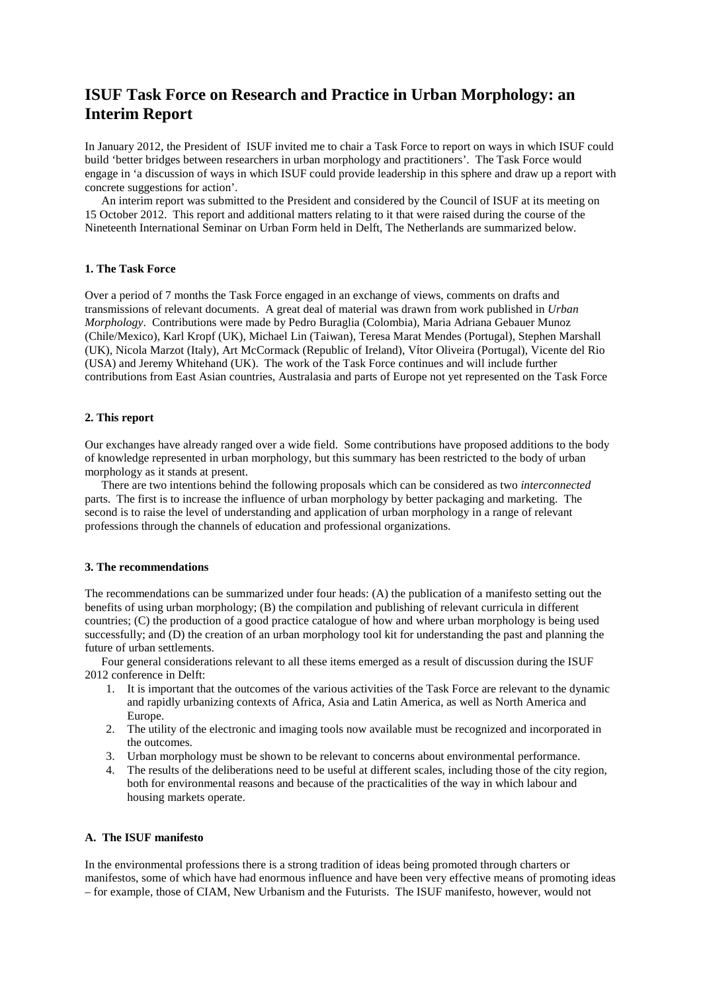# **ISUF Task Force on Research and Practice in Urban Morphology: an Interim Report**

In January 2012, the President of ISUF invited me to chair a Task Force to report on ways in which ISUF could build 'better bridges between researchers in urban morphology and practitioners'. The Task Force would engage in 'a discussion of ways in which ISUF could provide leadership in this sphere and draw up a report with concrete suggestions for action'.

An interim report was submitted to the President and considered by the Council of ISUF at its meeting on 15 October 2012. This report and additional matters relating to it that were raised during the course of the Nineteenth International Seminar on Urban Form held in Delft, The Netherlands are summarized below.

## **1. The Task Force**

Over a period of 7 months the Task Force engaged in an exchange of views, comments on drafts and transmissions of relevant documents. A great deal of material was drawn from work published in *Urban Morphology*. Contributions were made by Pedro Buraglia (Colombia), Maria Adriana Gebauer Munoz (Chile/Mexico), Karl Kropf (UK), Michael Lin (Taiwan), Teresa Marat Mendes (Portugal), Stephen Marshall (UK), Nicola Marzot (Italy), Art McCormack (Republic of Ireland), Vítor Oliveira (Portugal), Vicente del Rio (USA) and Jeremy Whitehand (UK). The work of the Task Force continues and will include further contributions from East Asian countries, Australasia and parts of Europe not yet represented on the Task Force

## **2. This report**

Our exchanges have already ranged over a wide field. Some contributions have proposed additions to the body of knowledge represented in urban morphology, but this summary has been restricted to the body of urban morphology as it stands at present.

There are two intentions behind the following proposals which can be considered as two *interconnected* parts. The first is to increase the influence of urban morphology by better packaging and marketing. The second is to raise the level of understanding and application of urban morphology in a range of relevant professions through the channels of education and professional organizations.

## **3. The recommendations**

The recommendations can be summarized under four heads: (A) the publication of a manifesto setting out the benefits of using urban morphology; (B) the compilation and publishing of relevant curricula in different countries; (C) the production of a good practice catalogue of how and where urban morphology is being used successfully; and (D) the creation of an urban morphology tool kit for understanding the past and planning the future of urban settlements.

Four general considerations relevant to all these items emerged as a result of discussion during the ISUF 2012 conference in Delft:

- 1. It is important that the outcomes of the various activities of the Task Force are relevant to the dynamic and rapidly urbanizing contexts of Africa, Asia and Latin America, as well as North America and Europe.
- 2. The utility of the electronic and imaging tools now available must be recognized and incorporated in the outcomes.
- 3. Urban morphology must be shown to be relevant to concerns about environmental performance.
- 4. The results of the deliberations need to be useful at different scales, including those of the city region, both for environmental reasons and because of the practicalities of the way in which labour and housing markets operate.

# **A. The ISUF manifesto**

In the environmental professions there is a strong tradition of ideas being promoted through charters or manifestos, some of which have had enormous influence and have been very effective means of promoting ideas – for example, those of CIAM, New Urbanism and the Futurists. The ISUF manifesto, however, would not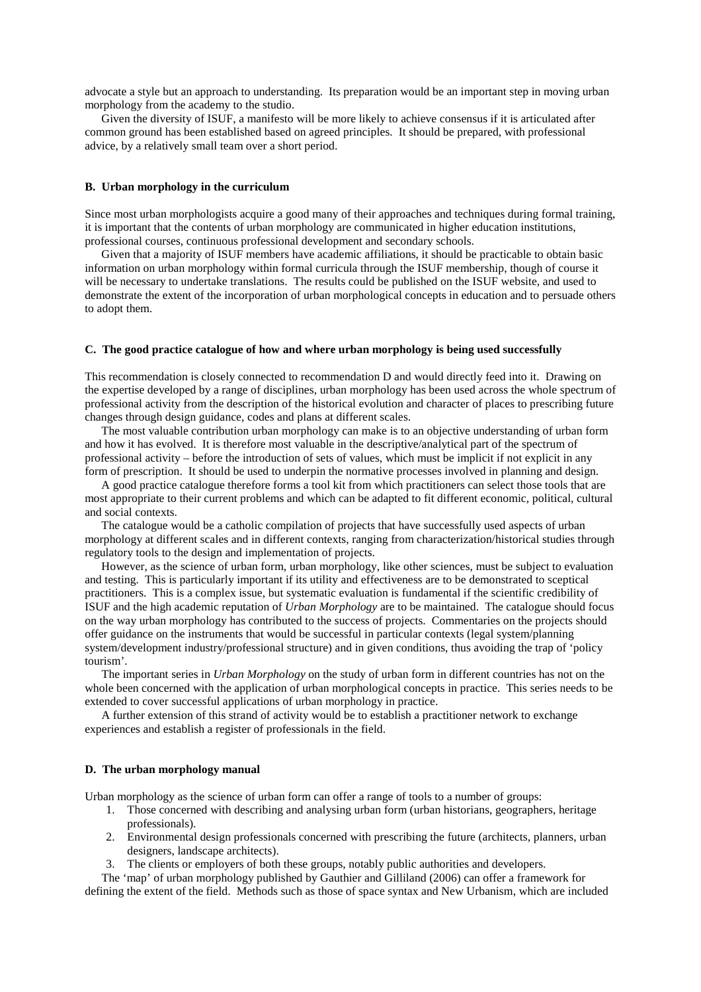advocate a style but an approach to understanding. Its preparation would be an important step in moving urban morphology from the academy to the studio.

Given the diversity of ISUF, a manifesto will be more likely to achieve consensus if it is articulated after common ground has been established based on agreed principles. It should be prepared, with professional advice, by a relatively small team over a short period.

## **B. Urban morphology in the curriculum**

Since most urban morphologists acquire a good many of their approaches and techniques during formal training, it is important that the contents of urban morphology are communicated in higher education institutions, professional courses, continuous professional development and secondary schools.

Given that a majority of ISUF members have academic affiliations, it should be practicable to obtain basic information on urban morphology within formal curricula through the ISUF membership, though of course it will be necessary to undertake translations. The results could be published on the ISUF website, and used to demonstrate the extent of the incorporation of urban morphological concepts in education and to persuade others to adopt them.

#### **C. The good practice catalogue of how and where urban morphology is being used successfully**

This recommendation is closely connected to recommendation D and would directly feed into it. Drawing on the expertise developed by a range of disciplines, urban morphology has been used across the whole spectrum of professional activity from the description of the historical evolution and character of places to prescribing future changes through design guidance, codes and plans at different scales.

The most valuable contribution urban morphology can make is to an objective understanding of urban form and how it has evolved. It is therefore most valuable in the descriptive/analytical part of the spectrum of professional activity – before the introduction of sets of values, which must be implicit if not explicit in any form of prescription. It should be used to underpin the normative processes involved in planning and design.

A good practice catalogue therefore forms a tool kit from which practitioners can select those tools that are most appropriate to their current problems and which can be adapted to fit different economic, political, cultural and social contexts.

The catalogue would be a catholic compilation of projects that have successfully used aspects of urban morphology at different scales and in different contexts, ranging from characterization/historical studies through regulatory tools to the design and implementation of projects.

However, as the science of urban form, urban morphology, like other sciences, must be subject to evaluation and testing. This is particularly important if its utility and effectiveness are to be demonstrated to sceptical practitioners. This is a complex issue, but systematic evaluation is fundamental if the scientific credibility of ISUF and the high academic reputation of *Urban Morphology* are to be maintained. The catalogue should focus on the way urban morphology has contributed to the success of projects. Commentaries on the projects should offer guidance on the instruments that would be successful in particular contexts (legal system/planning system/development industry/professional structure) and in given conditions, thus avoiding the trap of 'policy tourism'.

The important series in *Urban Morphology* on the study of urban form in different countries has not on the whole been concerned with the application of urban morphological concepts in practice. This series needs to be extended to cover successful applications of urban morphology in practice.

A further extension of this strand of activity would be to establish a practitioner network to exchange experiences and establish a register of professionals in the field.

#### **D. The urban morphology manual**

Urban morphology as the science of urban form can offer a range of tools to a number of groups:

- 1. Those concerned with describing and analysing urban form (urban historians, geographers, heritage professionals).
- 2. Environmental design professionals concerned with prescribing the future (architects, planners, urban designers, landscape architects).
- 3. The clients or employers of both these groups, notably public authorities and developers.

The 'map' of urban morphology published by Gauthier and Gilliland (2006) can offer a framework for defining the extent of the field. Methods such as those of space syntax and New Urbanism, which are included